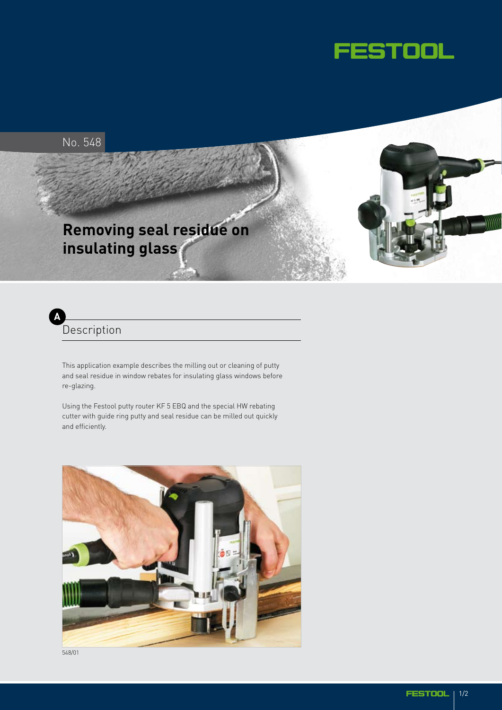



#### **Description A**

This application example describes the milling out or cleaning of putty and seal residue in window rebates for insulating glass windows before re-glazing.

Using the Festool putty router KF 5 EBQ and the special HW rebating cutter with guide ring putty and seal residue can be milled out quickly and efficiently.



548/01